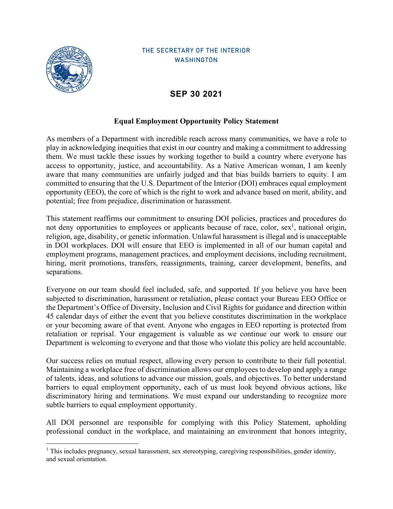

## THE SECRETARY OF THE INTERIOR **WASHINGTON**

## **SEP 30 2021**

## **Equal Employment Opportunity Policy Statement**

As members of a Department with incredible reach across many communities, we have a role to play in acknowledging inequities that exist in our country and making a commitment to addressing them. We must tackle these issues by working together to build a country where everyone has access to opportunity, justice, and accountability. As a Native American woman, I am keenly aware that many communities are unfairly judged and that bias builds barriers to equity. I am committed to ensuring that the U.S. Department of the Interior (DOI) embraces equal employment opportunity (EEO), the core of which is the right to work and advance based on merit, ability, and potential; free from prejudice, discrimination or harassment.

This statement reaffirms our commitment to ensuring DOI policies, practices and procedures do not deny opportunities to employees or applicants because of race, color,  $sex<sup>1</sup>$ , national origin, religion, age, disability, or genetic information. Unlawful harassment is illegal and is unacceptable in DOI workplaces. DOI will ensure that EEO is implemented in all of our human capital and employment programs, management practices, and employment decisions, including recruitment, hiring, merit promotions, transfers, reassignments, training, career development, benefits, and separations.

Everyone on our team should feel included, safe, and supported. If you believe you have been subjected to discrimination, harassment or retaliation, please contact your Bureau EEO Office or the Department's Office of Diversity, Inclusion and Civil Rights for guidance and direction within 45 calendar days of either the event that you believe constitutes discrimination in the workplace or your becoming aware of that event. Anyone who engages in EEO reporting is protected from retaliation or reprisal. Your engagement is valuable as we continue our work to ensure our Department is welcoming to everyone and that those who violate this policy are held accountable.

Our success relies on mutual respect, allowing every person to contribute to their full potential. Maintaining a workplace free of discrimination allows our employees to develop and apply a range of talents, ideas, and solutions to advance our mission, goals, and objectives. To better understand barriers to equal employment opportunity, each of us must look beyond obvious actions, like discriminatory hiring and terminations. We must expand our understanding to recognize more subtle barriers to equal employment opportunity.

All DOI personnel are responsible for complying with this Policy Statement, upholding professional conduct in the workplace, and maintaining an environment that honors integrity,

<sup>&</sup>lt;sup>1</sup> This includes pregnancy, sexual harassment, sex stereotyping, caregiving responsibilities, gender identity, and sexual orientation.